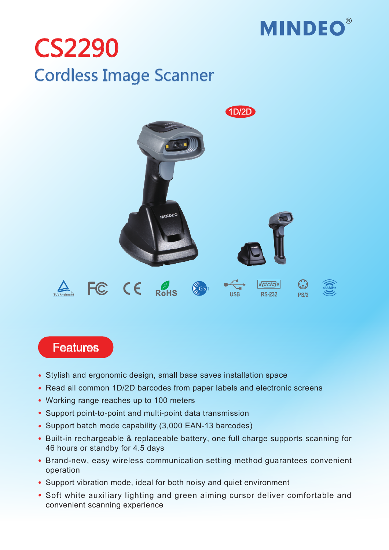

## Cordless Image Scanner CS2290



## **Features**

- Stylish and ergonomic design, small base saves installation space
- Read all common 1D/2D barcodes from paper labels and electronic screens
- Working range reaches up to 100 meters
- Support point-to-point and multi-point data transmission
- Support batch mode capability (3,000 EAN-13 barcodes)
- Built-in rechargeable & replaceable battery, one full charge supports scanning for 46 hours or standby for 4.5 days
- Brand-new, easy wireless communication setting method guarantees convenient operation
- Support vibration mode, ideal for both noisy and quiet environment
- Soft white auxiliary lighting and green aiming cursor deliver comfortable and convenient scanning experience